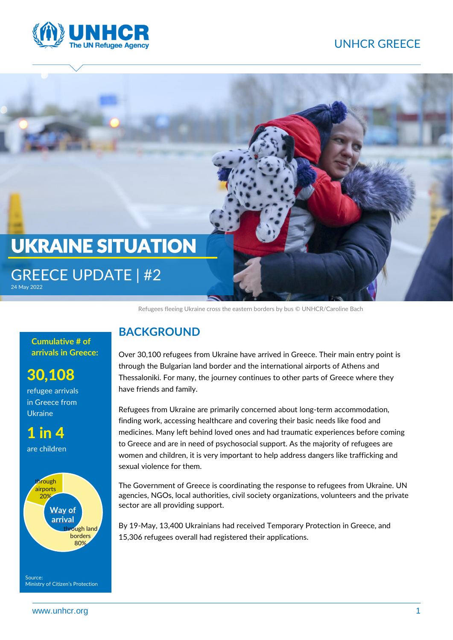## UNHCR GREECE





Refugees fleeing Ukraine cross the eastern borders by bus [© UNHCR/Caroline Bach](https://media.unhcr.org/C.aspx?VP3=DamView&KW_RID=2CZ7GWRBN43R)

**Cumulative # of arrivals in Greece:** 

# 30,108

refugee arrivals in Greece from Ukraine

1 in 4

are children



### **BACKGROUND**

Over 30,100 refugees from Ukraine have arrived in Greece. Their main entry point is through the Bulgarian land border and the international airports of Athens and Thessaloniki. For many, the journey continues to other parts of Greece where they have friends and family.

Refugees from Ukraine are primarily concerned about long-term accommodation, finding work, accessing healthcare and covering their basic needs like food and medicines. Many left behind loved ones and had traumatic experiences before coming to Greece and are in need of psychosocial support. As the majority of refugees are women and children, it is very important to help address dangers like trafficking and sexual violence for them.

The Government of Greece is coordinating the response to refugees from Ukraine. UN agencies, NGOs, local authorities, civil society organizations, volunteers and the private sector are all providing support.

By 19-May, 13,400 Ukrainians had received Temporary Protection in Greece, and 15,306 refugees overall had registered their applications.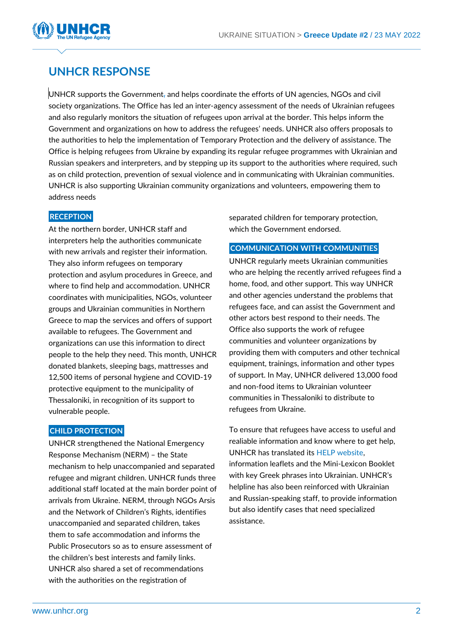

## **UNHCR RESPONSE**

UNHCR supports the Government, and helps coordinate the efforts of UN agencies, NGOs and civil society organizations. The Office has led an inter-agency assessment of the needs of Ukrainian refugees and also regularly monitors the situation of refugees upon arrival at the border. This helps inform the Government and organizations on how to address the refugees' needs. UNHCR also offers proposals to the authorities to help the implementation of Temporary Protection and the delivery of assistance. The Office is helping refugees from Ukraine by expanding its regular refugee programmes with Ukrainian and Russian speakers and interpreters, and by stepping up its support to the authorities where required, such as on child protection, prevention of sexual violence and in communicating with Ukrainian communities. UNHCR is also supporting Ukrainian community organizations and volunteers, empowering them to address needs

#### **RECEPTION**

At the northern border, UNHCR staff and interpreters help the authorities communicate with new arrivals and register their information. They also inform refugees on temporary protection and asylum procedures in Greece, and where to find help and accommodation. UNHCR coordinates with municipalities, NGOs, volunteer groups and Ukrainian communities in Northern Greece to map the services and offers of support available to refugees. The Government and organizations can use this information to direct people to the help they need. This month, UNHCR donated blankets, sleeping bags, mattresses and 12,500 items of personal hygiene and COVID-19 protective equipment to the municipality of Thessaloniki, in recognition of its support to vulnerable people.

#### **CHILD PROTECTION**

UNHCR strengthened the National Emergency Response Mechanism (NERM) – the State mechanism to help unaccompanied and separated refugee and migrant children. UNHCR funds three additional staff located at the main border point of arrivals from Ukraine. NERM, through NGOs Arsis and the Network of Children's Rights, identifies unaccompanied and separated children, takes them to safe accommodation and informs the Public Prosecutors so as to ensure assessment of the children's best interests and family links. UNHCR also shared a set of recommendations with the authorities on the registration of

separated children for temporary protection, which the Government endorsed.

#### **COMMUNICATION WITH COMMUNITIES**

UNHCR regularly meets Ukrainian communities who are helping the recently arrived refugees find a home, food, and other support. This way UNHCR and other agencies understand the problems that refugees face, and can assist the Government and other actors best respond to their needs. The Office also supports the work of refugee communities and volunteer organizations by providing them with computers and other technical equipment, trainings, information and other types of support. In May, UNHCR delivered 13,000 food and non-food items to Ukrainian volunteer communities in Thessaloniki to distribute to refugees from Ukraine.

To ensure that refugees have access to useful and realiable information and know where to get help, UNHCR has translated its [HELP website,](https://help.unhcr.org/greece/)  information leaflets and the Mini-Lexicon Booklet with key Greek phrases into Ukrainian. UNHCR's helpline has also been reinforced with Ukrainian and Russian-speaking staff, to provide information but also identify cases that need specialized assistance.